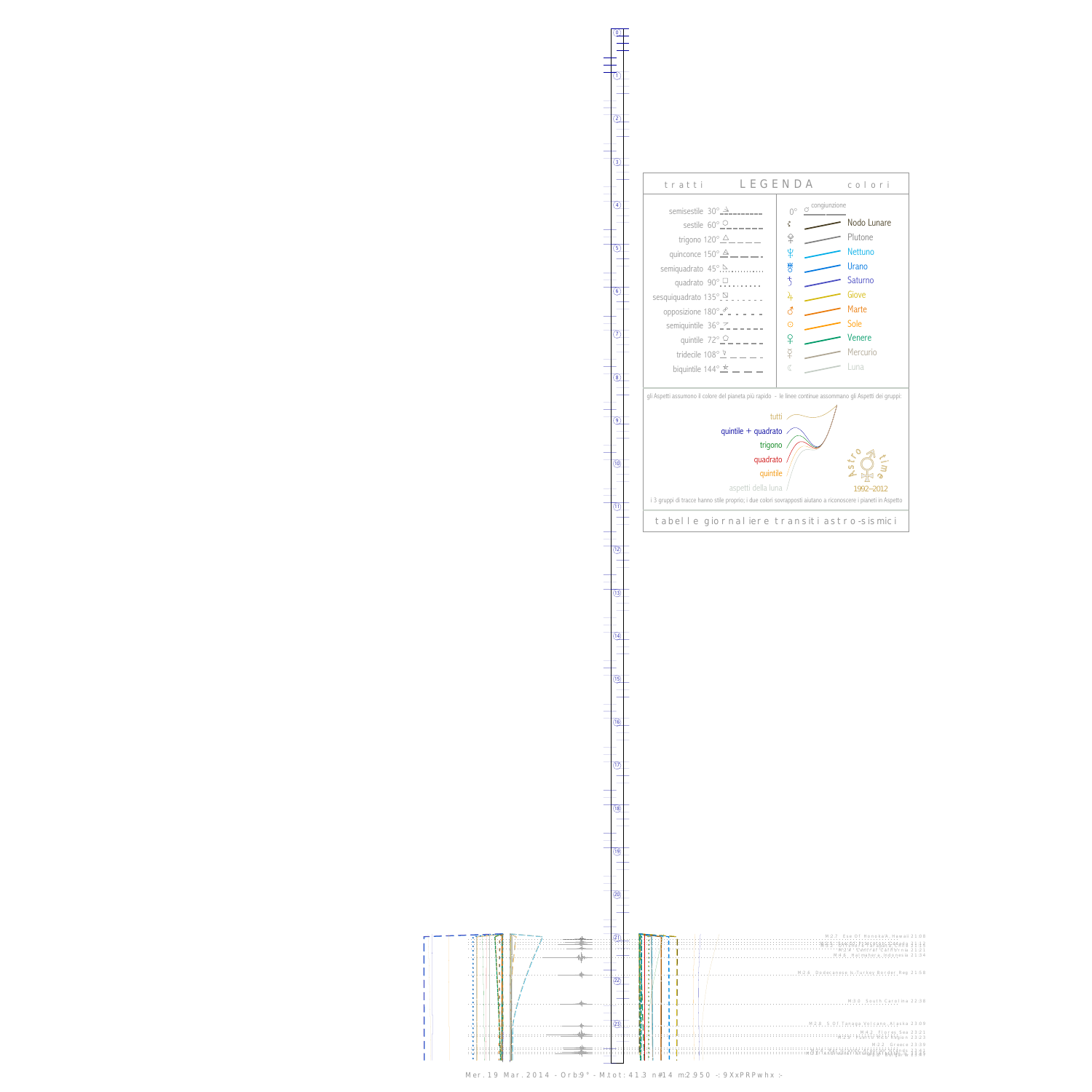г I l  $\mathsf{I}$  $\begin{array}{c} \rule{0pt}{2.5ex} \rule{0pt}{2.5ex} \rule{0pt}{2.5ex} \rule{0pt}{2.5ex} \rule{0pt}{2.5ex} \rule{0pt}{2.5ex} \rule{0pt}{2.5ex} \rule{0pt}{2.5ex} \rule{0pt}{2.5ex} \rule{0pt}{2.5ex} \rule{0pt}{2.5ex} \rule{0pt}{2.5ex} \rule{0pt}{2.5ex} \rule{0pt}{2.5ex} \rule{0pt}{2.5ex} \rule{0pt}{2.5ex} \rule{0pt}{2.5ex} \rule{0pt}{2.5ex} \rule{0pt}{2.5ex} \rule{0$ l I TШ